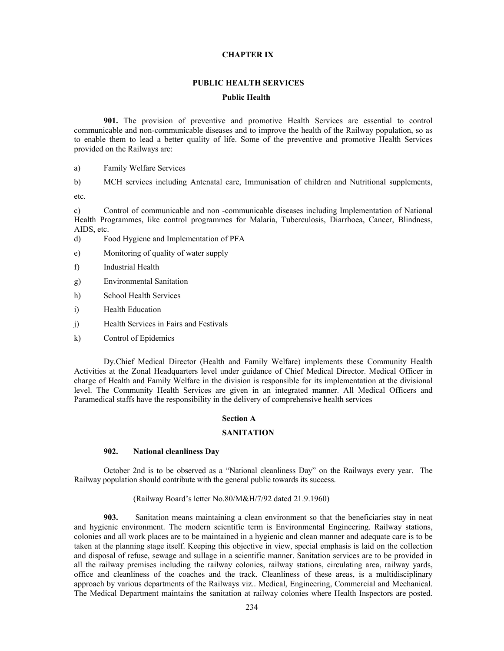## **CHAPTER IX**

### **PUBLIC HEALTH SERVICES**

#### **Public Health**

**901.** The provision of preventive and promotive Health Services are essential to control communicable and non-communicable diseases and to improve the health of the Railway population, so as to enable them to lead a better quality of life. Some of the preventive and promotive Health Services provided on the Railways are:

a) Family Welfare Services

b) MCH services including Antenatal care, Immunisation of children and Nutritional supplements,

etc.

c) Control of communicable and non -communicable diseases including Implementation of National Health Programmes, like control programmes for Malaria, Tuberculosis, Diarrhoea, Cancer, Blindness, AIDS, etc.

- d) Food Hygiene and Implementation of PFA
- e) Monitoring of quality of water supply
- f) Industrial Health
- g) Environmental Sanitation
- h) School Health Services
- i) Health Education
- j) Health Services in Fairs and Festivals
- k) Control of Epidemics

 Dy.Chief Medical Director (Health and Family Welfare) implements these Community Health Activities at the Zonal Headquarters level under guidance of Chief Medical Director. Medical Officer in charge of Health and Family Welfare in the division is responsible for its implementation at the divisional level. The Community Health Services are given in an integrated manner. All Medical Officers and Paramedical staffs have the responsibility in the delivery of comprehensive health services

#### **Section A**

#### **SANITATION**

### **902. National cleanliness Day**

 October 2nd is to be observed as a "National cleanliness Day" on the Railways every year. The Railway population should contribute with the general public towards its success.

#### (Railway Board's letter No.80/M&H/7/92 dated 21.9.1960)

**903.** Sanitation means maintaining a clean environment so that the beneficiaries stay in neat and hygienic environment. The modern scientific term is Environmental Engineering. Railway stations, colonies and all work places are to be maintained in a hygienic and clean manner and adequate care is to be taken at the planning stage itself. Keeping this objective in view, special emphasis is laid on the collection and disposal of refuse, sewage and sullage in a scientific manner. Sanitation services are to be provided in all the railway premises including the railway colonies, railway stations, circulating area, railway yards, office and cleanliness of the coaches and the track. Cleanliness of these areas, is a multidisciplinary approach by various departments of the Railways viz.. Medical, Engineering, Commercial and Mechanical. The Medical Department maintains the sanitation at railway colonies where Health Inspectors are posted.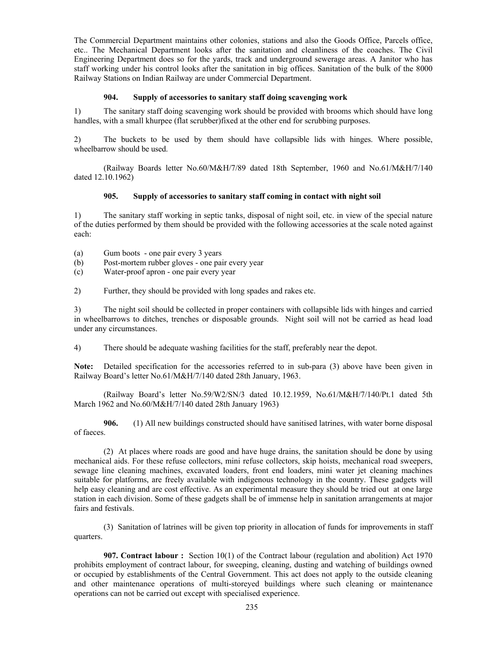The Commercial Department maintains other colonies, stations and also the Goods Office, Parcels office, etc.. The Mechanical Department looks after the sanitation and cleanliness of the coaches. The Civil Engineering Department does so for the yards, track and underground sewerage areas. A Janitor who has staff working under his control looks after the sanitation in big offices. Sanitation of the bulk of the 8000 Railway Stations on Indian Railway are under Commercial Department.

### **904. Supply of accessories to sanitary staff doing scavenging work**

1) The sanitary staff doing scavenging work should be provided with brooms which should have long handles, with a small khurpee (flat scrubber)fixed at the other end for scrubbing purposes.

2) The buckets to be used by them should have collapsible lids with hinges. Where possible, wheelbarrow should be used.

 (Railway Boards letter No.60/M&H/7/89 dated 18th September, 1960 and No.61/M&H/7/140 dated 12.10.1962)

### **905. Supply of accessories to sanitary staff coming in contact with night soil**

1) The sanitary staff working in septic tanks, disposal of night soil, etc. in view of the special nature of the duties performed by them should be provided with the following accessories at the scale noted against each:

- (a) Gum boots one pair every 3 years
- (b) Post-mortem rubber gloves one pair every year
- (c) Water-proof apron one pair every year
- 2) Further, they should be provided with long spades and rakes etc.

3) The night soil should be collected in proper containers with collapsible lids with hinges and carried in wheelbarrows to ditches, trenches or disposable grounds. Night soil will not be carried as head load under any circumstances.

4) There should be adequate washing facilities for the staff, preferably near the depot.

Note: Detailed specification for the accessories referred to in sub-para (3) above have been given in Railway Board's letter No.61/M&H/7/140 dated 28th January, 1963.

 (Railway Board's letter No.59/W2/SN/3 dated 10.12.1959, No.61/M&H/7/140/Pt.1 dated 5th March 1962 and No.60/M&H/7/140 dated 28th January 1963)

**906.** (1) All new buildings constructed should have sanitised latrines, with water borne disposal of faeces.

 (2) At places where roads are good and have huge drains, the sanitation should be done by using mechanical aids. For these refuse collectors, mini refuse collectors, skip hoists, mechanical road sweepers, sewage line cleaning machines, excavated loaders, front end loaders, mini water jet cleaning machines suitable for platforms, are freely available with indigenous technology in the country. These gadgets will help easy cleaning and are cost effective. As an experimental measure they should be tried out at one large station in each division. Some of these gadgets shall be of immense help in sanitation arrangements at major fairs and festivals.

(3) Sanitation of latrines will be given top priority in allocation of funds for improvements in staff quarters.

**907. Contract labour :** Section 10(1) of the Contract labour (regulation and abolition) Act 1970 prohibits employment of contract labour, for sweeping, cleaning, dusting and watching of buildings owned or occupied by establishments of the Central Government. This act does not apply to the outside cleaning and other maintenance operations of multi-storeyed buildings where such cleaning or maintenance operations can not be carried out except with specialised experience.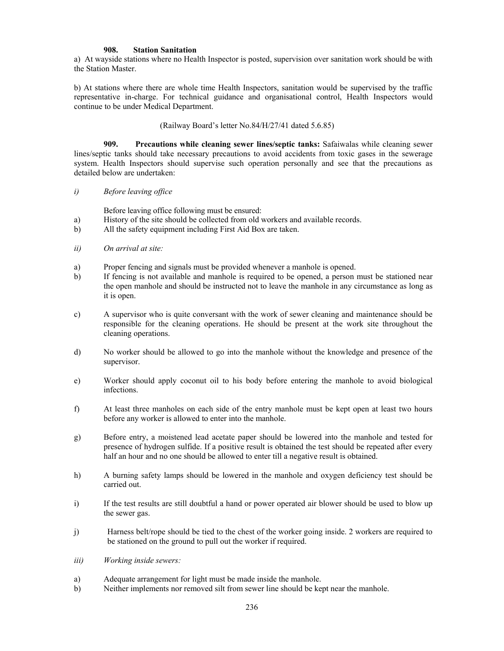### **908. Station Sanitation**

a) At wayside stations where no Health Inspector is posted, supervision over sanitation work should be with the Station Master.

b) At stations where there are whole time Health Inspectors, sanitation would be supervised by the traffic representative in-charge. For technical guidance and organisational control, Health Inspectors would continue to be under Medical Department.

### (Railway Board's letter No.84/H/27/41 dated 5.6.85)

**909. Precautions while cleaning sewer lines/septic tanks:** Safaiwalas while cleaning sewer lines/septic tanks should take necessary precautions to avoid accidents from toxic gases in the sewerage system. Health Inspectors should supervise such operation personally and see that the precautions as detailed below are undertaken:

*i) Before leaving office* 

Before leaving office following must be ensured:

- a) History of the site should be collected from old workers and available records.
- b) All the safety equipment including First Aid Box are taken.
- *ii) On arrival at site:*
- a) Proper fencing and signals must be provided whenever a manhole is opened.
- b) If fencing is not available and manhole is required to be opened, a person must be stationed near the open manhole and should be instructed not to leave the manhole in any circumstance as long as it is open.
- c) A supervisor who is quite conversant with the work of sewer cleaning and maintenance should be responsible for the cleaning operations. He should be present at the work site throughout the cleaning operations.
- d) No worker should be allowed to go into the manhole without the knowledge and presence of the supervisor.
- e) Worker should apply coconut oil to his body before entering the manhole to avoid biological infections.
- f) At least three manholes on each side of the entry manhole must be kept open at least two hours before any worker is allowed to enter into the manhole.
- g) Before entry, a moistened lead acetate paper should be lowered into the manhole and tested for presence of hydrogen sulfide. If a positive result is obtained the test should be repeated after every half an hour and no one should be allowed to enter till a negative result is obtained.
- h) A burning safety lamps should be lowered in the manhole and oxygen deficiency test should be carried out.
- i) If the test results are still doubtful a hand or power operated air blower should be used to blow up the sewer gas.
- j) Harness belt/rope should be tied to the chest of the worker going inside. 2 workers are required to be stationed on the ground to pull out the worker if required.
- *iii) Working inside sewers:*
- a) Adequate arrangement for light must be made inside the manhole.
- b) Neither implements nor removed silt from sewer line should be kept near the manhole.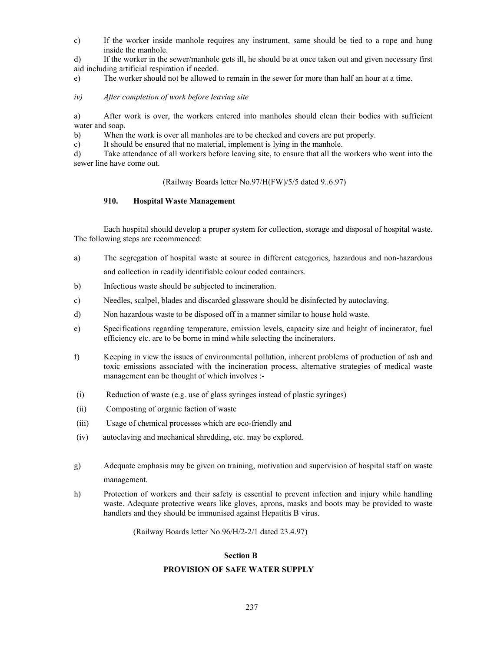c) If the worker inside manhole requires any instrument, same should be tied to a rope and hung inside the manhole.

d) If the worker in the sewer/manhole gets ill, he should be at once taken out and given necessary first aid including artificial respiration if needed.

e) The worker should not be allowed to remain in the sewer for more than half an hour at a time.

*iv) After completion of work before leaving site* 

a) After work is over, the workers entered into manholes should clean their bodies with sufficient water and soap.

b) When the work is over all manholes are to be checked and covers are put properly.

c) It should be ensured that no material, implement is lying in the manhole.

d) Take attendance of all workers before leaving site, to ensure that all the workers who went into the sewer line have come out.

(Railway Boards letter No.97/H(FW)/5/5 dated 9..6.97)

# **910. Hospital Waste Management**

 Each hospital should develop a proper system for collection, storage and disposal of hospital waste. The following steps are recommenced:

- a) The segregation of hospital waste at source in different categories, hazardous and non-hazardous and collection in readily identifiable colour coded containers.
- b) Infectious waste should be subjected to incineration.
- c) Needles, scalpel, blades and discarded glassware should be disinfected by autoclaving.
- d) Non hazardous waste to be disposed off in a manner similar to house hold waste.
- e) Specifications regarding temperature, emission levels, capacity size and height of incinerator, fuel efficiency etc. are to be borne in mind while selecting the incinerators.
- f) Keeping in view the issues of environmental pollution, inherent problems of production of ash and toxic emissions associated with the incineration process, alternative strategies of medical waste management can be thought of which involves :-
- (i) Reduction of waste (e.g. use of glass syringes instead of plastic syringes)
- (ii) Composting of organic faction of waste
- (iii) Usage of chemical processes which are eco-friendly and
- (iv) autoclaving and mechanical shredding, etc. may be explored.
- g) Adequate emphasis may be given on training, motivation and supervision of hospital staff on waste management.
- h) Protection of workers and their safety is essential to prevent infection and injury while handling waste. Adequate protective wears like gloves, aprons, masks and boots may be provided to waste handlers and they should be immunised against Hepatitis B virus.

(Railway Boards letter No.96/H/2-2/1 dated 23.4.97)

### **Section B**

# **PROVISION OF SAFE WATER SUPPLY**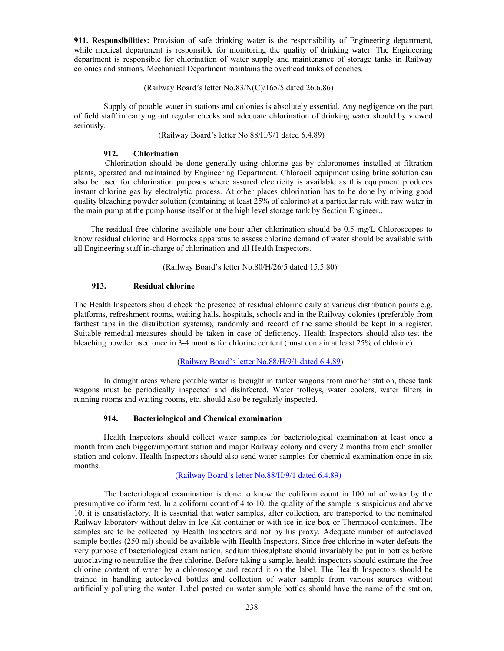**911. Responsibilities:** Provision of safe drinking water is the responsibility of Engineering department, while medical department is responsible for monitoring the quality of drinking water. The Engineering department is responsible for chlorination of water supply and maintenance of storage tanks in Railway colonies and stations. Mechanical Department maintains the overhead tanks of coaches.

(Railway Board's letter No.83/N(C)/165/5 dated 26.6.86)

 Supply of potable water in stations and colonies is absolutely essential. Any negligence on the part of field staff in carrying out regular checks and adequate chlorination of drinking water should by viewed seriously.

(Railway Board's letter No.88/H/9/1 dated 6.4.89)

## **912. Chlorination**

 Chlorination should be done generally using chlorine gas by chloronomes installed at filtration plants, operated and maintained by Engineering Department. Chlorocil equipment using brine solution can also be used for chlorination purposes where assured electricity is available as this equipment produces instant chlorine gas by electrolytic process. At other places chlorination has to be done by mixing good quality bleaching powder solution (containing at least 25% of chlorine) at a particular rate with raw water in the main pump at the pump house itself or at the high level storage tank by Section Engineer.,

 The residual free chlorine available one-hour after chlorination should be 0.5 mg/L Chloroscopes to know residual chlorine and Horrocks apparatus to assess chlorine demand of water should be available with all Engineering staff in-charge of chlorination and all Health Inspectors.

(Railway Board's letter No.80/H/26/5 dated 15.5.80)

## **913. Residual chlorine**

The Health Inspectors should check the presence of residual chlorine daily at various distribution points e.g. platforms, refreshment rooms, waiting halls, hospitals, schools and in the Railway colonies (preferably from farthest taps in the distribution systems), randomly and record of the same should be kept in a register. Suitable remedial measures should be taken in case of deficiency. Health Inspectors should also test the bleaching powder used once in 3-4 months for chlorine content (must contain at least 25% of chlorine)

# (Railway Board's letter No.88/H/9/1 dated 6.4.89)

 In draught areas where potable water is brought in tanker wagons from another station, these tank wagons must be periodically inspected and disinfected. Water trolleys, water coolers, water filters in running rooms and waiting rooms, etc. should also be regularly inspected.

# **914. Bacteriological and Chemical examination**

 Health Inspectors should collect water samples for bacteriological examination at least once a month from each bigger/important station and major Railway colony and every 2 months from each smaller station and colony. Health Inspectors should also send water samples for chemical examination once in six months.

## (Railway Board's letter No.88/H/9/1 dated 6.4.89)

 The bacteriological examination is done to know the coliform count in 100 ml of water by the presumptive coliform test. In a coliform count of 4 to 10, the quality of the sample is suspicious and above 10, it is unsatisfactory. It is essential that water samples, after collection, are transported to the nominated Railway laboratory without delay in Ice Kit container or with ice in ice box or Thermocol containers. The samples are to be collected by Health Inspectors and not by his proxy. Adequate number of autoclaved sample bottles (250 ml) should be available with Health Inspectors. Since free chlorine in water defeats the very purpose of bacteriological examination, sodium thiosulphate should invariably be put in bottles before autoclaving to neutralise the free chlorine. Before taking a sample, health inspectors should estimate the free chlorine content of water by a chloroscope and record it on the label. The Health Inspectors should be trained in handling autoclaved bottles and collection of water sample from various sources without artificially polluting the water. Label pasted on water sample bottles should have the name of the station,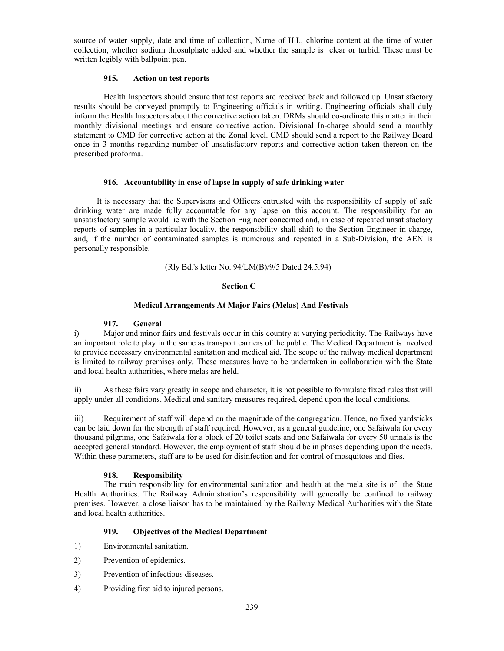source of water supply, date and time of collection, Name of H.I., chlorine content at the time of water collection, whether sodium thiosulphate added and whether the sample is clear or turbid. These must be written legibly with ballpoint pen.

# **915. Action on test reports**

Health Inspectors should ensure that test reports are received back and followed up. Unsatisfactory results should be conveyed promptly to Engineering officials in writing. Engineering officials shall duly inform the Health Inspectors about the corrective action taken. DRMs should co-ordinate this matter in their monthly divisional meetings and ensure corrective action. Divisional In-charge should send a monthly statement to CMD for corrective action at the Zonal level. CMD should send a report to the Railway Board once in 3 months regarding number of unsatisfactory reports and corrective action taken thereon on the prescribed proforma.

### **916. Accountability in case of lapse in supply of safe drinking water**

 It is necessary that the Supervisors and Officers entrusted with the responsibility of supply of safe drinking water are made fully accountable for any lapse on this account. The responsibility for an unsatisfactory sample would lie with the Section Engineer concerned and, in case of repeated unsatisfactory reports of samples in a particular locality, the responsibility shall shift to the Section Engineer in-charge, and, if the number of contaminated samples is numerous and repeated in a Sub-Division, the AEN is personally responsible.

#### (Rly Bd.'s letter No. 94/LM(B)/9/5 Dated 24.5.94)

#### **Section C**

### **Medical Arrangements At Major Fairs (Melas) And Festivals**

#### **917. General**

i) Major and minor fairs and festivals occur in this country at varying periodicity. The Railways have an important role to play in the same as transport carriers of the public. The Medical Department is involved to provide necessary environmental sanitation and medical aid. The scope of the railway medical department is limited to railway premises only. These measures have to be undertaken in collaboration with the State and local health authorities, where melas are held.

ii) As these fairs vary greatly in scope and character, it is not possible to formulate fixed rules that will apply under all conditions. Medical and sanitary measures required, depend upon the local conditions.

iii) Requirement of staff will depend on the magnitude of the congregation. Hence, no fixed yardsticks can be laid down for the strength of staff required. However, as a general guideline, one Safaiwala for every thousand pilgrims, one Safaiwala for a block of 20 toilet seats and one Safaiwala for every 50 urinals is the accepted general standard. However, the employment of staff should be in phases depending upon the needs. Within these parameters, staff are to be used for disinfection and for control of mosquitoes and flies.

### **918. Responsibility**

The main responsibility for environmental sanitation and health at the mela site is of the State Health Authorities. The Railway Administration's responsibility will generally be confined to railway premises. However, a close liaison has to be maintained by the Railway Medical Authorities with the State and local health authorities.

### **919. Objectives of the Medical Department**

- 1) Environmental sanitation.
- 2) Prevention of epidemics.
- 3) Prevention of infectious diseases.
- 4) Providing first aid to injured persons.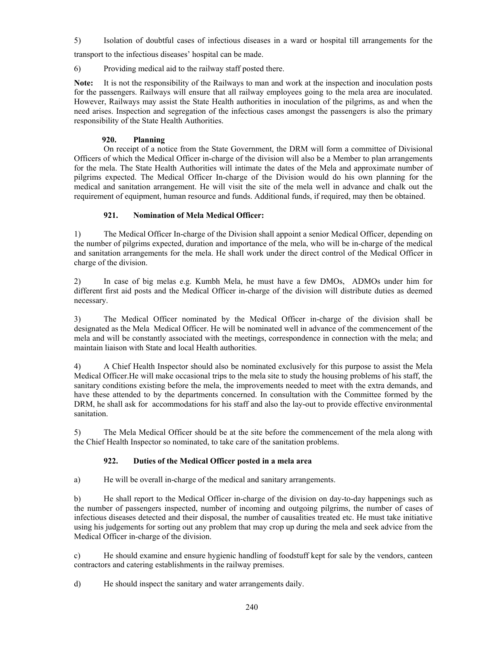5) Isolation of doubtful cases of infectious diseases in a ward or hospital till arrangements for the

transport to the infectious diseases' hospital can be made.

6) Providing medical aid to the railway staff posted there.

**Note:** It is not the responsibility of the Railways to man and work at the inspection and inoculation posts for the passengers. Railways will ensure that all railway employees going to the mela area are inoculated. However, Railways may assist the State Health authorities in inoculation of the pilgrims, as and when the need arises. Inspection and segregation of the infectious cases amongst the passengers is also the primary responsibility of the State Health Authorities.

# **920. Planning**

On receipt of a notice from the State Government, the DRM will form a committee of Divisional Officers of which the Medical Officer in-charge of the division will also be a Member to plan arrangements for the mela. The State Health Authorities will intimate the dates of the Mela and approximate number of pilgrims expected. The Medical Officer In-charge of the Division would do his own planning for the medical and sanitation arrangement. He will visit the site of the mela well in advance and chalk out the requirement of equipment, human resource and funds. Additional funds, if required, may then be obtained.

# **921. Nomination of Mela Medical Officer:**

1) The Medical Officer In-charge of the Division shall appoint a senior Medical Officer, depending on the number of pilgrims expected, duration and importance of the mela, who will be in-charge of the medical and sanitation arrangements for the mela. He shall work under the direct control of the Medical Officer in charge of the division.

2) In case of big melas e.g. Kumbh Mela, he must have a few DMOs, ADMOs under him for different first aid posts and the Medical Officer in-charge of the division will distribute duties as deemed necessary.

3) The Medical Officer nominated by the Medical Officer in-charge of the division shall be designated as the Mela Medical Officer. He will be nominated well in advance of the commencement of the mela and will be constantly associated with the meetings, correspondence in connection with the mela; and maintain liaison with State and local Health authorities.

4) A Chief Health Inspector should also be nominated exclusively for this purpose to assist the Mela Medical Officer.He will make occasional trips to the mela site to study the housing problems of his staff, the sanitary conditions existing before the mela, the improvements needed to meet with the extra demands, and have these attended to by the departments concerned. In consultation with the Committee formed by the DRM, he shall ask for accommodations for his staff and also the lay-out to provide effective environmental sanitation.

5) The Mela Medical Officer should be at the site before the commencement of the mela along with the Chief Health Inspector so nominated, to take care of the sanitation problems.

# **922. Duties of the Medical Officer posted in a mela area**

a) He will be overall in-charge of the medical and sanitary arrangements.

b) He shall report to the Medical Officer in-charge of the division on day-to-day happenings such as the number of passengers inspected, number of incoming and outgoing pilgrims, the number of cases of infectious diseases detected and their disposal, the number of causalities treated etc. He must take initiative using his judgements for sorting out any problem that may crop up during the mela and seek advice from the Medical Officer in-charge of the division.

c) He should examine and ensure hygienic handling of foodstuff kept for sale by the vendors, canteen contractors and catering establishments in the railway premises.

d) He should inspect the sanitary and water arrangements daily.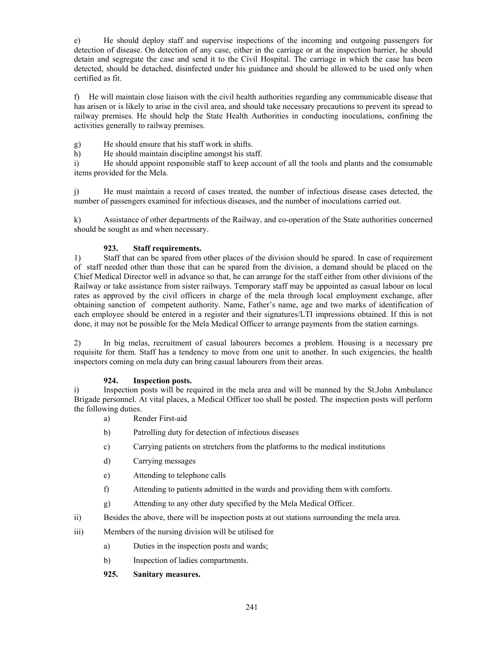e) He should deploy staff and supervise inspections of the incoming and outgoing passengers for detection of disease. On detection of any case, either in the carriage or at the inspection barrier, he should detain and segregate the case and send it to the Civil Hospital. The carriage in which the case has been detected, should be detached, disinfected under his guidance and should be allowed to be used only when certified as fit.

f) He will maintain close liaison with the civil health authorities regarding any communicable disease that has arisen or is likely to arise in the civil area, and should take necessary precautions to prevent its spread to railway premises. He should help the State Health Authorities in conducting inoculations, confining the activities generally to railway premises.

g) He should ensure that his staff work in shifts.

h) He should maintain discipline amongst his staff.

i) He should appoint responsible staff to keep account of all the tools and plants and the consumable items provided for the Mela.

j) He must maintain a record of cases treated, the number of infectious disease cases detected, the number of passengers examined for infectious diseases, and the number of inoculations carried out.

k) Assistance of other departments of the Railway, and co-operation of the State authorities concerned should be sought as and when necessary.

# **923. Staff requirements.**

1) Staff that can be spared from other places of the division should be spared. In case of requirement of staff needed other than those that can be spared from the division, a demand should be placed on the Chief Medical Director well in advance so that, he can arrange for the staff either from other divisions of the Railway or take assistance from sister railways. Temporary staff may be appointed as casual labour on local rates as approved by the civil officers in charge of the mela through local employment exchange, after obtaining sanction of competent authority. Name, Father's name, age and two marks of identification of each employee should be entered in a register and their signatures/LTI impressions obtained. If this is not done, it may not be possible for the Mela Medical Officer to arrange payments from the station earnings.

2) In big melas, recruitment of casual labourers becomes a problem. Housing is a necessary pre requisite for them. Staff has a tendency to move from one unit to another. In such exigencies, the health inspectors coming on mela duty can bring casual labourers from their areas.

# **924. Inspection posts.**

i) Inspection posts will be required in the mela area and will be manned by the St.John Ambulance Brigade personnel. At vital places, a Medical Officer too shall be posted. The inspection posts will perform the following duties.

- a) Render First-aid
- b) Patrolling duty for detection of infectious diseases
- c) Carrying patients on stretchers from the platforms to the medical institutions
- d) Carrying messages
- e) Attending to telephone calls
- f) Attending to patients admitted in the wards and providing them with comforts.
- g) Attending to any other duty specified by the Mela Medical Officer.
- ii) Besides the above, there will be inspection posts at out stations surrounding the mela area.

iii) Members of the nursing division will be utilised for

- a) Duties in the inspection posts and wards;
- b) Inspection of ladies compartments.
- **925. Sanitary measures.**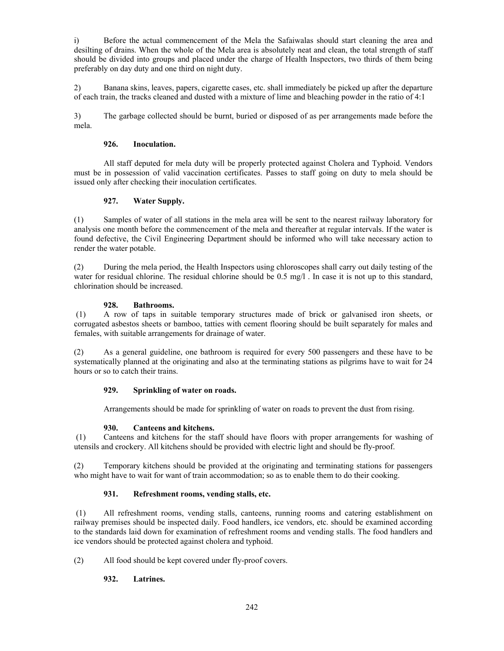i) Before the actual commencement of the Mela the Safaiwalas should start cleaning the area and desilting of drains. When the whole of the Mela area is absolutely neat and clean, the total strength of staff should be divided into groups and placed under the charge of Health Inspectors, two thirds of them being preferably on day duty and one third on night duty.

2) Banana skins, leaves, papers, cigarette cases, etc. shall immediately be picked up after the departure of each train, the tracks cleaned and dusted with a mixture of lime and bleaching powder in the ratio of 4:1

3) The garbage collected should be burnt, buried or disposed of as per arrangements made before the mela.

# **926. Inoculation.**

 All staff deputed for mela duty will be properly protected against Cholera and Typhoid. Vendors must be in possession of valid vaccination certificates. Passes to staff going on duty to mela should be issued only after checking their inoculation certificates.

# **927. Water Supply.**

(1) Samples of water of all stations in the mela area will be sent to the nearest railway laboratory for analysis one month before the commencement of the mela and thereafter at regular intervals. If the water is found defective, the Civil Engineering Department should be informed who will take necessary action to render the water potable.

(2) During the mela period, the Health Inspectors using chloroscopes shall carry out daily testing of the water for residual chlorine. The residual chlorine should be 0.5 mg/l. In case it is not up to this standard, chlorination should be increased.

## **928. Bathrooms.**

 (1) A row of taps in suitable temporary structures made of brick or galvanised iron sheets, or corrugated asbestos sheets or bamboo, tatties with cement flooring should be built separately for males and females, with suitable arrangements for drainage of water.

(2) As a general guideline, one bathroom is required for every 500 passengers and these have to be systematically planned at the originating and also at the terminating stations as pilgrims have to wait for 24 hours or so to catch their trains.

# **929. Sprinkling of water on roads.**

Arrangements should be made for sprinkling of water on roads to prevent the dust from rising.

### **930. Canteens and kitchens.**

 (1) Canteens and kitchens for the staff should have floors with proper arrangements for washing of utensils and crockery. All kitchens should be provided with electric light and should be fly-proof.

(2) Temporary kitchens should be provided at the originating and terminating stations for passengers who might have to wait for want of train accommodation; so as to enable them to do their cooking.

## **931. Refreshment rooms, vending stalls, etc.**

 (1) All refreshment rooms, vending stalls, canteens, running rooms and catering establishment on railway premises should be inspected daily. Food handlers, ice vendors, etc. should be examined according to the standards laid down for examination of refreshment rooms and vending stalls. The food handlers and ice vendors should be protected against cholera and typhoid.

(2) All food should be kept covered under fly-proof covers.

# **932. Latrines.**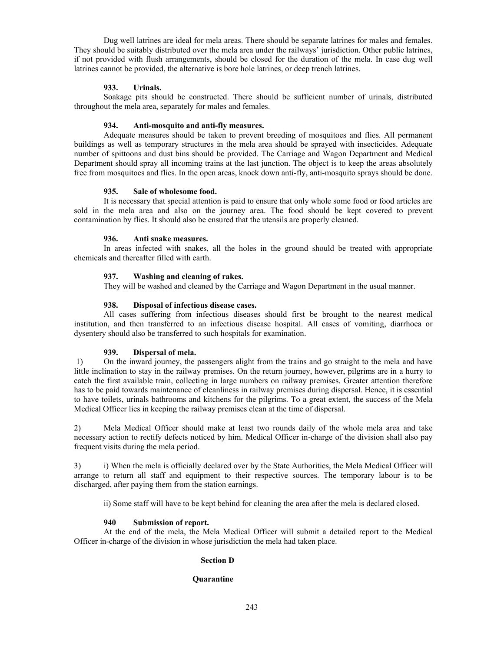Dug well latrines are ideal for mela areas. There should be separate latrines for males and females. They should be suitably distributed over the mela area under the railways' jurisdiction. Other public latrines, if not provided with flush arrangements, should be closed for the duration of the mela. In case dug well latrines cannot be provided, the alternative is bore hole latrines, or deep trench latrines.

### **933. Urinals.**

 Soakage pits should be constructed. There should be sufficient number of urinals, distributed throughout the mela area, separately for males and females.

### **934. Anti-mosquito and anti-fly measures.**

Adequate measures should be taken to prevent breeding of mosquitoes and flies. All permanent buildings as well as temporary structures in the mela area should be sprayed with insecticides. Adequate number of spittoons and dust bins should be provided. The Carriage and Wagon Department and Medical Department should spray all incoming trains at the last junction. The object is to keep the areas absolutely free from mosquitoes and flies. In the open areas, knock down anti-fly, anti-mosquito sprays should be done.

### **935. Sale of wholesome food.**

 It is necessary that special attention is paid to ensure that only whole some food or food articles are sold in the mela area and also on the journey area. The food should be kept covered to prevent contamination by flies. It should also be ensured that the utensils are properly cleaned.

## **936. Anti snake measures.**

 In areas infected with snakes, all the holes in the ground should be treated with appropriate chemicals and thereafter filled with earth.

# **937. Washing and cleaning of rakes.**

They will be washed and cleaned by the Carriage and Wagon Department in the usual manner.

## **938. Disposal of infectious disease cases.**

 All cases suffering from infectious diseases should first be brought to the nearest medical institution, and then transferred to an infectious disease hospital. All cases of vomiting, diarrhoea or dysentery should also be transferred to such hospitals for examination.

# **939. Dispersal of mela.**

 1) On the inward journey, the passengers alight from the trains and go straight to the mela and have little inclination to stay in the railway premises. On the return journey, however, pilgrims are in a hurry to catch the first available train, collecting in large numbers on railway premises. Greater attention therefore has to be paid towards maintenance of cleanliness in railway premises during dispersal. Hence, it is essential to have toilets, urinals bathrooms and kitchens for the pilgrims. To a great extent, the success of the Mela Medical Officer lies in keeping the railway premises clean at the time of dispersal.

2) Mela Medical Officer should make at least two rounds daily of the whole mela area and take necessary action to rectify defects noticed by him. Medical Officer in-charge of the division shall also pay frequent visits during the mela period.

3) i) When the mela is officially declared over by the State Authorities, the Mela Medical Officer will arrange to return all staff and equipment to their respective sources. The temporary labour is to be discharged, after paying them from the station earnings.

ii) Some staff will have to be kept behind for cleaning the area after the mela is declared closed.

# **940 Submission of report.**

At the end of the mela, the Mela Medical Officer will submit a detailed report to the Medical Officer in-charge of the division in whose jurisdiction the mela had taken place.

# **Section D**

# **Quarantine**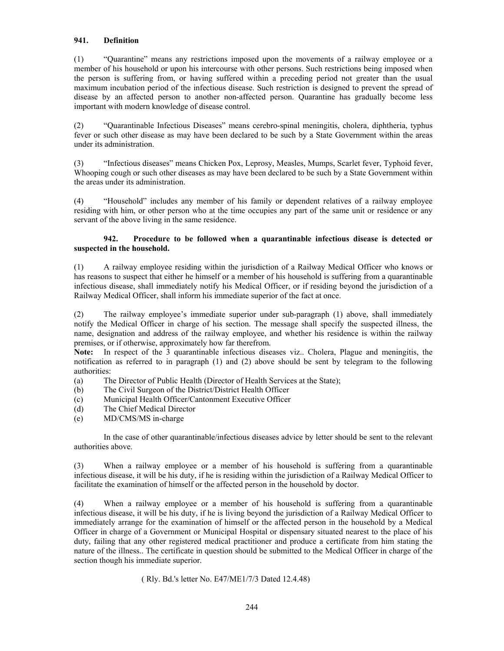# **941. Definition**

(1) "Quarantine" means any restrictions imposed upon the movements of a railway employee or a member of his household or upon his intercourse with other persons. Such restrictions being imposed when the person is suffering from, or having suffered within a preceding period not greater than the usual maximum incubation period of the infectious disease. Such restriction is designed to prevent the spread of disease by an affected person to another non-affected person. Quarantine has gradually become less important with modern knowledge of disease control.

(2) "Quarantinable Infectious Diseases" means cerebro-spinal meningitis, cholera, diphtheria, typhus fever or such other disease as may have been declared to be such by a State Government within the areas under its administration.

(3) "Infectious diseases" means Chicken Pox, Leprosy, Measles, Mumps, Scarlet fever, Typhoid fever, Whooping cough or such other diseases as may have been declared to be such by a State Government within the areas under its administration.

(4) "Household" includes any member of his family or dependent relatives of a railway employee residing with him, or other person who at the time occupies any part of the same unit or residence or any servant of the above living in the same residence.

## **942. Procedure to be followed when a quarantinable infectious disease is detected or suspected in the household.**

(1) A railway employee residing within the jurisdiction of a Railway Medical Officer who knows or has reasons to suspect that either he himself or a member of his household is suffering from a quarantinable infectious disease, shall immediately notify his Medical Officer, or if residing beyond the jurisdiction of a Railway Medical Officer, shall inform his immediate superior of the fact at once.

(2) The railway employee's immediate superior under sub-paragraph (1) above, shall immediately notify the Medical Officer in charge of his section. The message shall specify the suspected illness, the name, designation and address of the railway employee, and whether his residence is within the railway premises, or if otherwise, approximately how far therefrom.

**Note:** In respect of the 3 quarantinable infectious diseases viz.. Cholera, Plague and meningitis, the notification as referred to in paragraph (1) and (2) above should be sent by telegram to the following authorities:

- (a) The Director of Public Health (Director of Health Services at the State);
- (b) The Civil Surgeon of the District/District Health Officer
- (c) Municipal Health Officer/Cantonment Executive Officer
- (d) The Chief Medical Director
- (e) MD/CMS/MS in-charge

 In the case of other quarantinable/infectious diseases advice by letter should be sent to the relevant authorities above.

(3) When a railway employee or a member of his household is suffering from a quarantinable infectious disease, it will be his duty, if he is residing within the jurisdiction of a Railway Medical Officer to facilitate the examination of himself or the affected person in the household by doctor.

(4) When a railway employee or a member of his household is suffering from a quarantinable infectious disease, it will be his duty, if he is living beyond the jurisdiction of a Railway Medical Officer to immediately arrange for the examination of himself or the affected person in the household by a Medical Officer in charge of a Government or Municipal Hospital or dispensary situated nearest to the place of his duty, failing that any other registered medical practitioner and produce a certificate from him stating the nature of the illness.. The certificate in question should be submitted to the Medical Officer in charge of the section though his immediate superior.

( Rly. Bd.'s letter No. E47/ME1/7/3 Dated 12.4.48)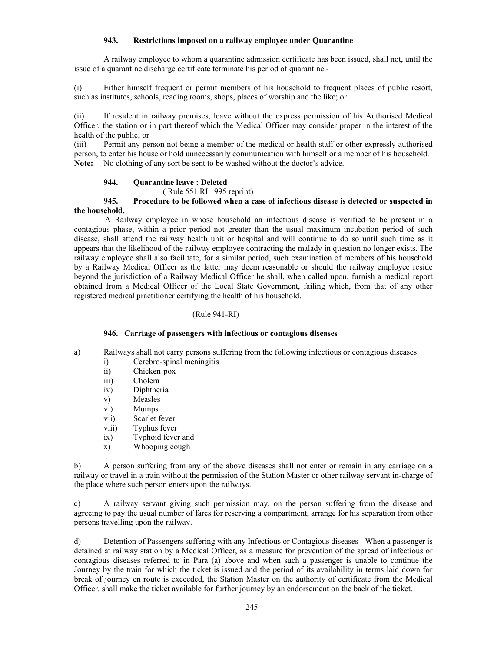# **943. Restrictions imposed on a railway employee under Quarantine**

 A railway employee to whom a quarantine admission certificate has been issued, shall not, until the issue of a quarantine discharge certificate terminate his period of quarantine.-

(i) Either himself frequent or permit members of his household to frequent places of public resort, such as institutes, schools, reading rooms, shops, places of worship and the like; or

(ii) If resident in railway premises, leave without the express permission of his Authorised Medical Officer, the station or in part thereof which the Medical Officer may consider proper in the interest of the health of the public; or

(iii) Permit any person not being a member of the medical or health staff or other expressly authorised person, to enter his house or hold unnecessarily communication with himself or a member of his household. **Note:** No clothing of any sort be sent to be washed without the doctor's advice.

## **944. Quarantine leave : Deleted**

( Rule 551 RI 1995 reprint)

### **945. Procedure to be followed when a case of infectious disease is detected or suspected in the household.**

A Railway employee in whose household an infectious disease is verified to be present in a contagious phase, within a prior period not greater than the usual maximum incubation period of such disease, shall attend the railway health unit or hospital and will continue to do so until such time as it appears that the likelihood of the railway employee contracting the malady in question no longer exists. The railway employee shall also facilitate, for a similar period, such examination of members of his household by a Railway Medical Officer as the latter may deem reasonable or should the railway employee reside beyond the jurisdiction of a Railway Medical Officer he shall, when called upon, furnish a medical report obtained from a Medical Officer of the Local State Government, failing which, from that of any other registered medical practitioner certifying the health of his household.

# (Rule 941-RI)

### **946. Carriage of passengers with infectious or contagious diseases**

a) Railways shall not carry persons suffering from the following infectious or contagious diseases:

- i) Cerebro-spinal meningitis
- ii) Chicken-pox
- iii) Cholera
- iv) Diphtheria
- v) Measles
- vi) Mumps
- vii) Scarlet fever
- viii) Typhus fever
- ix) Typhoid fever and
- x) Whooping cough

b) A person suffering from any of the above diseases shall not enter or remain in any carriage on a railway or travel in a train without the permission of the Station Master or other railway servant in-charge of the place where such person enters upon the railways.

c) A railway servant giving such permission may, on the person suffering from the disease and agreeing to pay the usual number of fares for reserving a compartment, arrange for his separation from other persons travelling upon the railway.

d) Detention of Passengers suffering with any Infectious or Contagious diseases - When a passenger is detained at railway station by a Medical Officer, as a measure for prevention of the spread of infectious or contagious diseases referred to in Para (a) above and when such a passenger is unable to continue the Journey by the train for which the ticket is issued and the period of its availability in terms laid down for break of journey en route is exceeded, the Station Master on the authority of certificate from the Medical Officer, shall make the ticket available for further journey by an endorsement on the back of the ticket.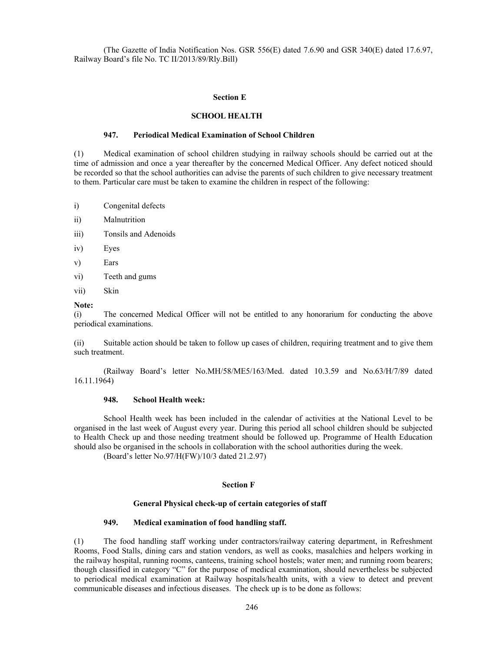(The Gazette of India Notification Nos. GSR 556(E) dated 7.6.90 and GSR 340(E) dated 17.6.97, Railway Board's file No. TC II/2013/89/Rly.Bill)

#### **Section E**

#### **SCHOOL HEALTH**

### **947. Periodical Medical Examination of School Children**

(1) Medical examination of school children studying in railway schools should be carried out at the time of admission and once a year thereafter by the concerned Medical Officer. Any defect noticed should be recorded so that the school authorities can advise the parents of such children to give necessary treatment to them. Particular care must be taken to examine the children in respect of the following:

- i) Congenital defects
- ii) Malnutrition
- iii) Tonsils and Adenoids
- iv) Eyes
- v) Ears
- vi) Teeth and gums
- vii) Skin

#### **Note:**

(i) The concerned Medical Officer will not be entitled to any honorarium for conducting the above periodical examinations.

(ii) Suitable action should be taken to follow up cases of children, requiring treatment and to give them such treatment.

 (Railway Board's letter No.MH/58/ME5/163/Med. dated 10.3.59 and No.63/H/7/89 dated 16.11.1964)

### **948. School Health week:**

 School Health week has been included in the calendar of activities at the National Level to be organised in the last week of August every year. During this period all school children should be subjected to Health Check up and those needing treatment should be followed up. Programme of Health Education should also be organised in the schools in collaboration with the school authorities during the week.

(Board's letter No.97/H(FW)/10/3 dated 21.2.97)

#### **Section F**

#### **General Physical check-up of certain categories of staff**

### **949. Medical examination of food handling staff.**

(1) The food handling staff working under contractors/railway catering department, in Refreshment Rooms, Food Stalls, dining cars and station vendors, as well as cooks, masalchies and helpers working in the railway hospital, running rooms, canteens, training school hostels; water men; and running room bearers; though classified in category "C" for the purpose of medical examination, should nevertheless be subjected to periodical medical examination at Railway hospitals/health units, with a view to detect and prevent communicable diseases and infectious diseases. The check up is to be done as follows: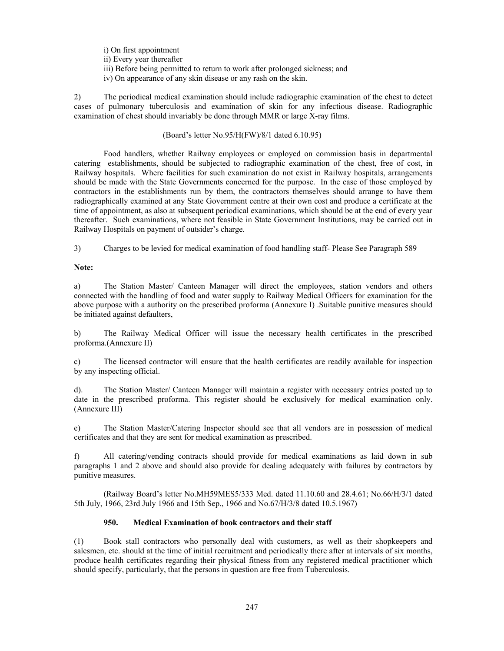- i) On first appointment
- ii) Every year thereafter
- iii) Before being permitted to return to work after prolonged sickness; and
- iv) On appearance of any skin disease or any rash on the skin.

2) The periodical medical examination should include radiographic examination of the chest to detect cases of pulmonary tuberculosis and examination of skin for any infectious disease. Radiographic examination of chest should invariably be done through MMR or large X-ray films.

## (Board's letter No.95/H(FW)/8/1 dated 6.10.95)

 Food handlers, whether Railway employees or employed on commission basis in departmental catering establishments, should be subjected to radiographic examination of the chest, free of cost, in Railway hospitals. Where facilities for such examination do not exist in Railway hospitals, arrangements should be made with the State Governments concerned for the purpose. In the case of those employed by contractors in the establishments run by them, the contractors themselves should arrange to have them radiographically examined at any State Government centre at their own cost and produce a certificate at the time of appointment, as also at subsequent periodical examinations, which should be at the end of every year thereafter. Such examinations, where not feasible in State Government Institutions, may be carried out in Railway Hospitals on payment of outsider's charge.

3) Charges to be levied for medical examination of food handling staff- Please See Paragraph 589

## **Note:**

a) The Station Master/ Canteen Manager will direct the employees, station vendors and others connected with the handling of food and water supply to Railway Medical Officers for examination for the above purpose with a authority on the prescribed proforma (Annexure I) .Suitable punitive measures should be initiated against defaulters,

b) The Railway Medical Officer will issue the necessary health certificates in the prescribed proforma.(Annexure II)

c) The licensed contractor will ensure that the health certificates are readily available for inspection by any inspecting official.

d). The Station Master/ Canteen Manager will maintain a register with necessary entries posted up to date in the prescribed proforma. This register should be exclusively for medical examination only. (Annexure III)

e) The Station Master/Catering Inspector should see that all vendors are in possession of medical certificates and that they are sent for medical examination as prescribed.

f) All catering/vending contracts should provide for medical examinations as laid down in sub paragraphs 1 and 2 above and should also provide for dealing adequately with failures by contractors by punitive measures.

 (Railway Board's letter No.MH59MES5/333 Med. dated 11.10.60 and 28.4.61; No.66/H/3/1 dated 5th July, 1966, 23rd July 1966 and 15th Sep., 1966 and No.67/H/3/8 dated 10.5.1967)

# **950. Medical Examination of book contractors and their staff**

(1) Book stall contractors who personally deal with customers, as well as their shopkeepers and salesmen, etc. should at the time of initial recruitment and periodically there after at intervals of six months, produce health certificates regarding their physical fitness from any registered medical practitioner which should specify, particularly, that the persons in question are free from Tuberculosis.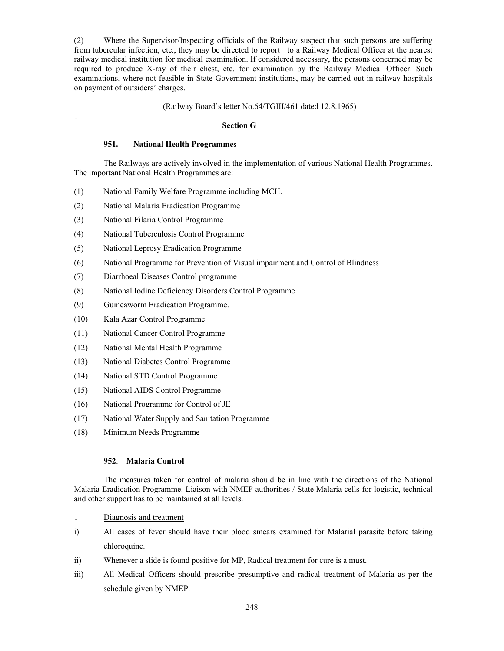(2) Where the Supervisor/Inspecting officials of the Railway suspect that such persons are suffering from tubercular infection, etc., they may be directed to report to a Railway Medical Officer at the nearest railway medical institution for medical examination. If considered necessary, the persons concerned may be required to produce X-ray of their chest, etc. for examination by the Railway Medical Officer. Such examinations, where not feasible in State Government institutions, may be carried out in railway hospitals on payment of outsiders' charges.

### (Railway Board's letter No.64/TGIII/461 dated 12.8.1965)

#### **Section G**

## **951. National Health Programmes**

 The Railways are actively involved in the implementation of various National Health Programmes. The important National Health Programmes are:

- (1) National Family Welfare Programme including MCH.
- (2) National Malaria Eradication Programme
- (3) National Filaria Control Programme

..

- (4) National Tuberculosis Control Programme
- (5) National Leprosy Eradication Programme
- (6) National Programme for Prevention of Visual impairment and Control of Blindness
- (7) Diarrhoeal Diseases Control programme
- (8) National Iodine Deficiency Disorders Control Programme
- (9) Guineaworm Eradication Programme.
- (10) Kala Azar Control Programme
- (11) National Cancer Control Programme
- (12) National Mental Health Programme
- (13) National Diabetes Control Programme
- (14) National STD Control Programme
- (15) National AIDS Control Programme
- (16) National Programme for Control of JE
- (17) National Water Supply and Sanitation Programme
- (18) Minimum Needs Programme

### **952**. **Malaria Control**

 The measures taken for control of malaria should be in line with the directions of the National Malaria Eradication Programme. Liaison with NMEP authorities / State Malaria cells for logistic, technical and other support has to be maintained at all levels.

- 1 Diagnosis and treatment
- i) All cases of fever should have their blood smears examined for Malarial parasite before taking chloroquine.
- ii) Whenever a slide is found positive for MP, Radical treatment for cure is a must.
- iii) All Medical Officers should prescribe presumptive and radical treatment of Malaria as per the schedule given by NMEP.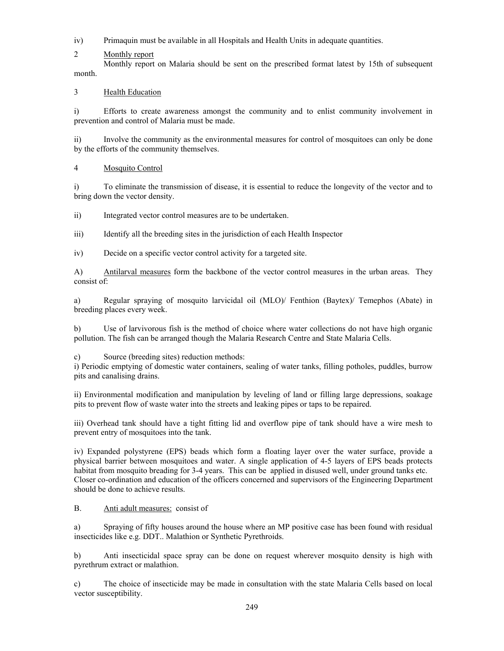iv) Primaquin must be available in all Hospitals and Health Units in adequate quantities.

2 Monthly report

 Monthly report on Malaria should be sent on the prescribed format latest by 15th of subsequent month.

3 Health Education

i) Efforts to create awareness amongst the community and to enlist community involvement in prevention and control of Malaria must be made.

ii) Involve the community as the environmental measures for control of mosquitoes can only be done by the efforts of the community themselves.

4 Mosquito Control

i) To eliminate the transmission of disease, it is essential to reduce the longevity of the vector and to bring down the vector density.

ii) Integrated vector control measures are to be undertaken.

iii) Identify all the breeding sites in the jurisdiction of each Health Inspector

iv) Decide on a specific vector control activity for a targeted site.

A) Antilarval measures form the backbone of the vector control measures in the urban areas. They consist of:

a) Regular spraying of mosquito larvicidal oil (MLO)/ Fenthion (Baytex)/ Temephos (Abate) in breeding places every week.

b) Use of larvivorous fish is the method of choice where water collections do not have high organic pollution. The fish can be arranged though the Malaria Research Centre and State Malaria Cells.

c) Source (breeding sites) reduction methods:

i) Periodic emptying of domestic water containers, sealing of water tanks, filling potholes, puddles, burrow pits and canalising drains.

ii) Environmental modification and manipulation by leveling of land or filling large depressions, soakage pits to prevent flow of waste water into the streets and leaking pipes or taps to be repaired.

iii) Overhead tank should have a tight fitting lid and overflow pipe of tank should have a wire mesh to prevent entry of mosquitoes into the tank.

iv) Expanded polystyrene (EPS) beads which form a floating layer over the water surface, provide a physical barrier between mosquitoes and water. A single application of 4-5 layers of EPS beads protects habitat from mosquito breading for 3-4 years. This can be applied in disused well, under ground tanks etc. Closer co-ordination and education of the officers concerned and supervisors of the Engineering Department should be done to achieve results.

B. Anti adult measures: consist of

a) Spraying of fifty houses around the house where an MP positive case has been found with residual insecticides like e.g. DDT.. Malathion or Synthetic Pyrethroids.

b) Anti insecticidal space spray can be done on request wherever mosquito density is high with pyrethrum extract or malathion.

c) The choice of insecticide may be made in consultation with the state Malaria Cells based on local vector susceptibility.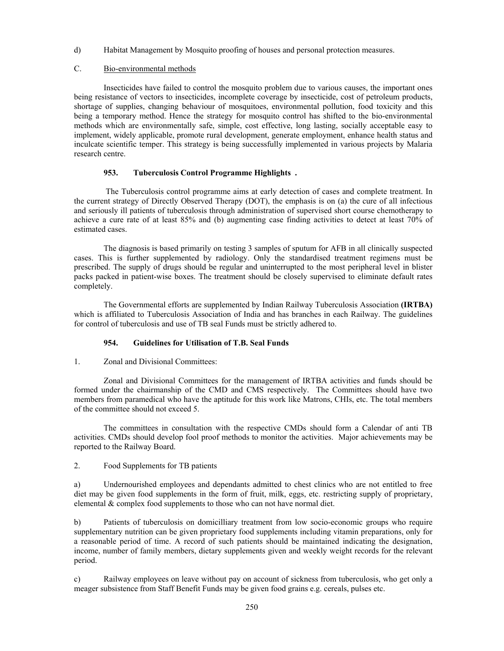d) Habitat Management by Mosquito proofing of houses and personal protection measures.

# C. Bio-environmental methods

 Insecticides have failed to control the mosquito problem due to various causes, the important ones being resistance of vectors to insecticides, incomplete coverage by insecticide, cost of petroleum products, shortage of supplies, changing behaviour of mosquitoes, environmental pollution, food toxicity and this being a temporary method. Hence the strategy for mosquito control has shifted to the bio-environmental methods which are environmentally safe, simple, cost effective, long lasting, socially acceptable easy to implement, widely applicable, promote rural development, generate employment, enhance health status and inculcate scientific temper. This strategy is being successfully implemented in various projects by Malaria research centre.

## **953. Tuberculosis Control Programme Highlights .**

 The Tuberculosis control programme aims at early detection of cases and complete treatment. In the current strategy of Directly Observed Therapy (DOT), the emphasis is on (a) the cure of all infectious and seriously ill patients of tuberculosis through administration of supervised short course chemotherapy to achieve a cure rate of at least 85% and (b) augmenting case finding activities to detect at least 70% of estimated cases.

 The diagnosis is based primarily on testing 3 samples of sputum for AFB in all clinically suspected cases. This is further supplemented by radiology. Only the standardised treatment regimens must be prescribed. The supply of drugs should be regular and uninterrupted to the most peripheral level in blister packs packed in patient-wise boxes. The treatment should be closely supervised to eliminate default rates completely.

 The Governmental efforts are supplemented by Indian Railway Tuberculosis Association **(IRTBA)** which is affiliated to Tuberculosis Association of India and has branches in each Railway. The guidelines for control of tuberculosis and use of TB seal Funds must be strictly adhered to.

# **954. Guidelines for Utilisation of T.B. Seal Funds**

1. Zonal and Divisional Committees:

 Zonal and Divisional Committees for the management of IRTBA activities and funds should be formed under the chairmanship of the CMD and CMS respectively. The Committees should have two members from paramedical who have the aptitude for this work like Matrons, CHIs, etc. The total members of the committee should not exceed 5.

 The committees in consultation with the respective CMDs should form a Calendar of anti TB activities. CMDs should develop fool proof methods to monitor the activities. Major achievements may be reported to the Railway Board.

2. Food Supplements for TB patients

a) Undernourished employees and dependants admitted to chest clinics who are not entitled to free diet may be given food supplements in the form of fruit, milk, eggs, etc. restricting supply of proprietary, elemental & complex food supplements to those who can not have normal diet.

b) Patients of tuberculosis on domicilliary treatment from low socio-economic groups who require supplementary nutrition can be given proprietary food supplements including vitamin preparations, only for a reasonable period of time. A record of such patients should be maintained indicating the designation, income, number of family members, dietary supplements given and weekly weight records for the relevant period.

c) Railway employees on leave without pay on account of sickness from tuberculosis, who get only a meager subsistence from Staff Benefit Funds may be given food grains e.g. cereals, pulses etc.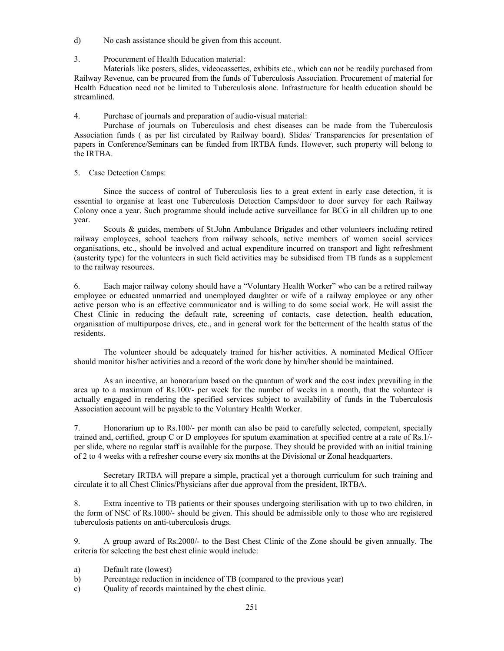- d) No cash assistance should be given from this account.
- 3. Procurement of Health Education material:

 Materials like posters, slides, videocassettes, exhibits etc., which can not be readily purchased from Railway Revenue, can be procured from the funds of Tuberculosis Association. Procurement of material for Health Education need not be limited to Tuberculosis alone. Infrastructure for health education should be streamlined.

4. Purchase of journals and preparation of audio-visual material:

 Purchase of journals on Tuberculosis and chest diseases can be made from the Tuberculosis Association funds ( as per list circulated by Railway board). Slides/ Transparencies for presentation of papers in Conference/Seminars can be funded from IRTBA funds. However, such property will belong to the IRTBA.

5. Case Detection Camps:

 Since the success of control of Tuberculosis lies to a great extent in early case detection, it is essential to organise at least one Tuberculosis Detection Camps/door to door survey for each Railway Colony once a year. Such programme should include active surveillance for BCG in all children up to one year.

 Scouts & guides, members of St.John Ambulance Brigades and other volunteers including retired railway employees, school teachers from railway schools, active members of women social services organisations, etc., should be involved and actual expenditure incurred on transport and light refreshment (austerity type) for the volunteers in such field activities may be subsidised from TB funds as a supplement to the railway resources.

6. Each major railway colony should have a "Voluntary Health Worker" who can be a retired railway employee or educated unmarried and unemployed daughter or wife of a railway employee or any other active person who is an effective communicator and is willing to do some social work. He will assist the Chest Clinic in reducing the default rate, screening of contacts, case detection, health education, organisation of multipurpose drives, etc., and in general work for the betterment of the health status of the residents.

 The volunteer should be adequately trained for his/her activities. A nominated Medical Officer should monitor his/her activities and a record of the work done by him/her should be maintained.

 As an incentive, an honorarium based on the quantum of work and the cost index prevailing in the area up to a maximum of Rs.100/- per week for the number of weeks in a month, that the volunteer is actually engaged in rendering the specified services subject to availability of funds in the Tuberculosis Association account will be payable to the Voluntary Health Worker.

7. Honorarium up to Rs.100/- per month can also be paid to carefully selected, competent, specially trained and, certified, group C or D employees for sputum examination at specified centre at a rate of Rs.1/ per slide, where no regular staff is available for the purpose. They should be provided with an initial training of 2 to 4 weeks with a refresher course every six months at the Divisional or Zonal headquarters.

 Secretary IRTBA will prepare a simple, practical yet a thorough curriculum for such training and circulate it to all Chest Clinics/Physicians after due approval from the president, IRTBA.

8. Extra incentive to TB patients or their spouses undergoing sterilisation with up to two children, in the form of NSC of Rs.1000/- should be given. This should be admissible only to those who are registered tuberculosis patients on anti-tuberculosis drugs.

9. A group award of Rs.2000/- to the Best Chest Clinic of the Zone should be given annually. The criteria for selecting the best chest clinic would include:

- a) Default rate (lowest)
- b) Percentage reduction in incidence of TB (compared to the previous year)
- c) Quality of records maintained by the chest clinic.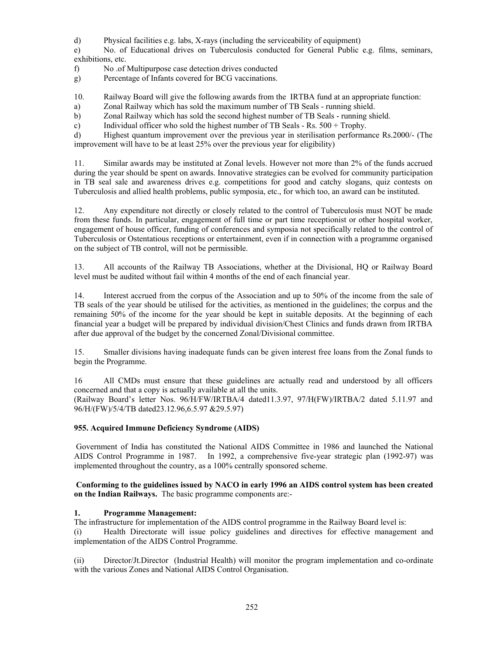d) Physical facilities e.g. labs, X-rays (including the serviceability of equipment)

e) No. of Educational drives on Tuberculosis conducted for General Public e.g. films, seminars, exhibitions, etc.

f) No .of Multipurpose case detection drives conducted

g) Percentage of Infants covered for BCG vaccinations.

10. Railway Board will give the following awards from the IRTBA fund at an appropriate function:

a) Zonal Railway which has sold the maximum number of TB Seals - running shield.

b) Zonal Railway which has sold the second highest number of TB Seals - running shield.

c) Individual officer who sold the highest number of TB Seals - Rs. 500 + Trophy.

d) Highest quantum improvement over the previous year in sterilisation performance Rs.2000/- (The improvement will have to be at least 25% over the previous year for eligibility)

11. Similar awards may be instituted at Zonal levels. However not more than 2% of the funds accrued during the year should be spent on awards. Innovative strategies can be evolved for community participation in TB seal sale and awareness drives e.g. competitions for good and catchy slogans, quiz contests on Tuberculosis and allied health problems, public symposia, etc., for which too, an award can be instituted.

12. Any expenditure not directly or closely related to the control of Tuberculosis must NOT be made from these funds. In particular, engagement of full time or part time receptionist or other hospital worker, engagement of house officer, funding of conferences and symposia not specifically related to the control of Tuberculosis or Ostentatious receptions or entertainment, even if in connection with a programme organised on the subject of TB control, will not be permissible.

13. All accounts of the Railway TB Associations, whether at the Divisional, HQ or Railway Board level must be audited without fail within 4 months of the end of each financial year.

14. Interest accrued from the corpus of the Association and up to 50% of the income from the sale of TB seals of the year should be utilised for the activities, as mentioned in the guidelines; the corpus and the remaining 50% of the income for the year should be kept in suitable deposits. At the beginning of each financial year a budget will be prepared by individual division/Chest Clinics and funds drawn from IRTBA after due approval of the budget by the concerned Zonal/Divisional committee.

15. Smaller divisions having inadequate funds can be given interest free loans from the Zonal funds to begin the Programme.

16 All CMDs must ensure that these guidelines are actually read and understood by all officers concerned and that a copy is actually available at all the units. (Railway Board's letter Nos. 96/H/FW/IRTBA/4 dated11.3.97, 97/H(FW)/IRTBA/2 dated 5.11.97 and

96/H/(FW)/5/4/TB dated23.12.96,6.5.97 &29.5.97)

# **955. Acquired Immune Deficiency Syndrome (AIDS)**

 Government of India has constituted the National AIDS Committee in 1986 and launched the National AIDS Control Programme in 1987. In 1992, a comprehensive five-year strategic plan (1992-97) was implemented throughout the country, as a 100% centrally sponsored scheme.

## **Conforming to the guidelines issued by NACO in early 1996 an AIDS control system has been created on the Indian Railways.** The basic programme components are:-

# **1. Programme Management:**

The infrastructure for implementation of the AIDS control programme in the Railway Board level is:

(i) Health Directorate will issue policy guidelines and directives for effective management and implementation of the AIDS Control Programme.

(ii) Director/Jt.Director (Industrial Health) will monitor the program implementation and co-ordinate with the various Zones and National AIDS Control Organisation.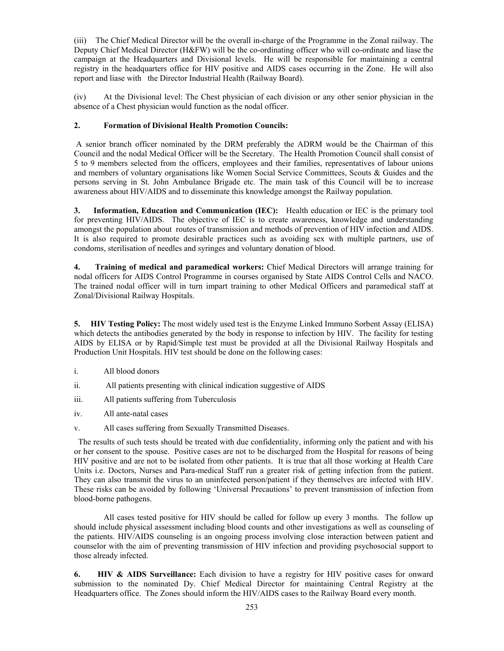(iii) The Chief Medical Director will be the overall in-charge of the Programme in the Zonal railway. The Deputy Chief Medical Director (H&FW) will be the co-ordinating officer who will co-ordinate and liase the campaign at the Headquarters and Divisional levels. He will be responsible for maintaining a central registry in the headquarters office for HIV positive and AIDS cases occurring in the Zone. He will also report and liase with the Director Industrial Health (Railway Board).

(iv) At the Divisional level: The Chest physician of each division or any other senior physician in the absence of a Chest physician would function as the nodal officer.

# **2. Formation of Divisional Health Promotion Councils:**

 A senior branch officer nominated by the DRM preferably the ADRM would be the Chairman of this Council and the nodal Medical Officer will be the Secretary. The Health Promotion Council shall consist of 5 to 9 members selected from the officers, employees and their families, representatives of labour unions and members of voluntary organisations like Women Social Service Committees, Scouts & Guides and the persons serving in St. John Ambulance Brigade etc. The main task of this Council will be to increase awareness about HIV/AIDS and to disseminate this knowledge amongst the Railway population.

**3. Information, Education and Communication (IEC):** Health education or IEC is the primary tool for preventing HIV/AIDS. The objective of IEC is to create awareness, knowledge and understanding amongst the population about routes of transmission and methods of prevention of HIV infection and AIDS. It is also required to promote desirable practices such as avoiding sex with multiple partners, use of condoms, sterilisation of needles and syringes and voluntary donation of blood.

**4. Training of medical and paramedical workers:** Chief Medical Directors will arrange training for nodal officers for AIDS Control Programme in courses organised by State AIDS Control Cells and NACO. The trained nodal officer will in turn impart training to other Medical Officers and paramedical staff at Zonal/Divisional Railway Hospitals.

**5. HIV Testing Policy:** The most widely used test is the Enzyme Linked Immuno Sorbent Assay (ELISA) which detects the antibodies generated by the body in response to infection by HIV. The facility for testing AIDS by ELISA or by Rapid/Simple test must be provided at all the Divisional Railway Hospitals and Production Unit Hospitals. HIV test should be done on the following cases:

- i. All blood donors
- ii. All patients presenting with clinical indication suggestive of AIDS
- iii. All patients suffering from Tuberculosis
- iv. All ante-natal cases
- v. All cases suffering from Sexually Transmitted Diseases.

 The results of such tests should be treated with due confidentiality, informing only the patient and with his or her consent to the spouse. Positive cases are not to be discharged from the Hospital for reasons of being HIV positive and are not to be isolated from other patients. It is true that all those working at Health Care Units i.e. Doctors, Nurses and Para-medical Staff run a greater risk of getting infection from the patient. They can also transmit the virus to an uninfected person/patient if they themselves are infected with HIV. These risks can be avoided by following 'Universal Precautions' to prevent transmission of infection from blood-borne pathogens.

 All cases tested positive for HIV should be called for follow up every 3 months. The follow up should include physical assessment including blood counts and other investigations as well as counseling of the patients. HIV/AIDS counseling is an ongoing process involving close interaction between patient and counselor with the aim of preventing transmission of HIV infection and providing psychosocial support to those already infected.

**6. HIV & AIDS Surveillance:** Each division to have a registry for HIV positive cases for onward submission to the nominated Dy. Chief Medical Director for maintaining Central Registry at the Headquarters office. The Zones should inform the HIV/AIDS cases to the Railway Board every month.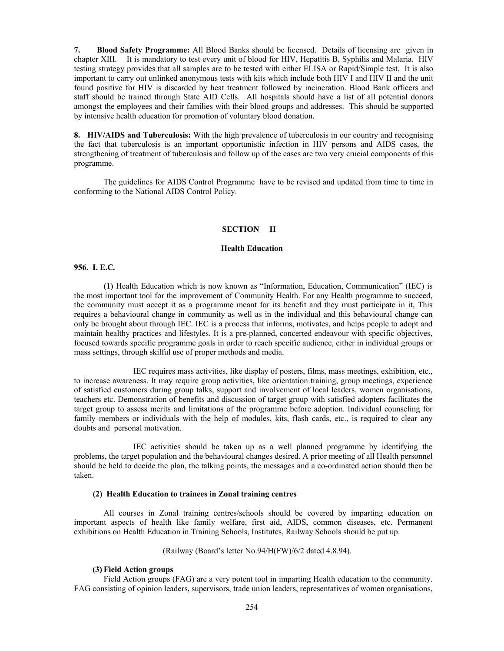**7. Blood Safety Programme:** All Blood Banks should be licensed. Details of licensing are given in chapter XIII. It is mandatory to test every unit of blood for HIV, Hepatitis B, Syphilis and Malaria. HIV testing strategy provides that all samples are to be tested with either ELISA or Rapid/Simple test. It is also important to carry out unlinked anonymous tests with kits which include both HIV I and HIV II and the unit found positive for HIV is discarded by heat treatment followed by incineration. Blood Bank officers and staff should be trained through State AID Cells. All hospitals should have a list of all potential donors amongst the employees and their families with their blood groups and addresses. This should be supported by intensive health education for promotion of voluntary blood donation.

**8. HIV/AIDS and Tuberculosis:** With the high prevalence of tuberculosis in our country and recognising the fact that tuberculosis is an important opportunistic infection in HIV persons and AIDS cases, the strengthening of treatment of tuberculosis and follow up of the cases are two very crucial components of this programme.

 The guidelines for AIDS Control Programme have to be revised and updated from time to time in conforming to the National AIDS Control Policy.

## **SECTION H**

### **Health Education**

### **956. I. E.C***.*

**(1)** Health Education which is now known as "Information, Education, Communication" (IEC) is the most important tool for the improvement of Community Health. For any Health programme to succeed, the community must accept it as a programme meant for its benefit and they must participate in it, This requires a behavioural change in community as well as in the individual and this behavioural change can only be brought about through IEC. IEC is a process that informs, motivates, and helps people to adopt and maintain healthy practices and lifestyles. It is a pre-planned, concerted endeavour with specific objectives, focused towards specific programme goals in order to reach specific audience, either in individual groups or mass settings, through skilful use of proper methods and media.

 IEC requires mass activities, like display of posters, films, mass meetings, exhibition, etc., to increase awareness. It may require group activities, like orientation training, group meetings, experience of satisfied customers during group talks, support and involvement of local leaders, women organisations, teachers etc. Demonstration of benefits and discussion of target group with satisfied adopters facilitates the target group to assess merits and limitations of the programme before adoption. Individual counseling for family members or individuals with the help of modules, kits, flash cards, etc., is required to clear any doubts and personal motivation.

 IEC activities should be taken up as a well planned programme by identifying the problems, the target population and the behavioural changes desired. A prior meeting of all Health personnel should be held to decide the plan, the talking points, the messages and a co-ordinated action should then be taken.

#### **(2) Health Education to trainees in Zonal training centres**

 All courses in Zonal training centres/schools should be covered by imparting education on important aspects of health like family welfare, first aid, AIDS, common diseases, etc. Permanent exhibitions on Health Education in Training Schools, Institutes, Railway Schools should be put up.

(Railway (Board's letter No.94/H(FW)/6/2 dated 4.8.94).

#### **(3) Field Action groups**

 Field Action groups (FAG) are a very potent tool in imparting Health education to the community. FAG consisting of opinion leaders, supervisors, trade union leaders, representatives of women organisations,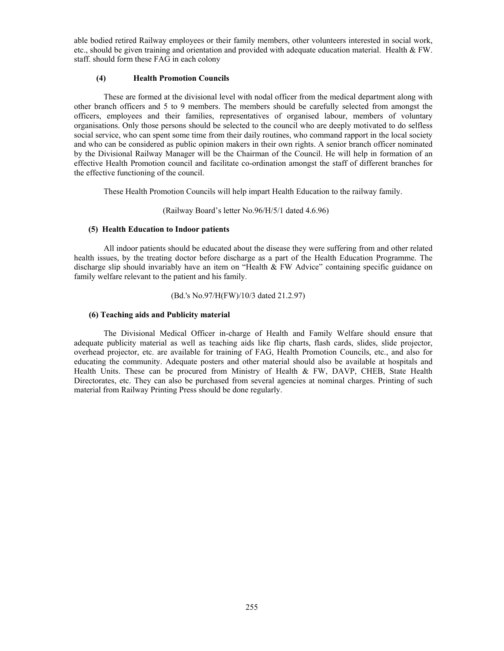able bodied retired Railway employees or their family members, other volunteers interested in social work, etc., should be given training and orientation and provided with adequate education material. Health  $& FW$ . staff. should form these FAG in each colony

### **(4) Health Promotion Councils**

 These are formed at the divisional level with nodal officer from the medical department along with other branch officers and 5 to 9 members. The members should be carefully selected from amongst the officers, employees and their families, representatives of organised labour, members of voluntary organisations. Only those persons should be selected to the council who are deeply motivated to do selfless social service, who can spent some time from their daily routines, who command rapport in the local society and who can be considered as public opinion makers in their own rights. A senior branch officer nominated by the Divisional Railway Manager will be the Chairman of the Council. He will help in formation of an effective Health Promotion council and facilitate co-ordination amongst the staff of different branches for the effective functioning of the council.

These Health Promotion Councils will help impart Health Education to the railway family.

#### (Railway Board's letter No.96/H/5/1 dated 4.6.96)

### **(5) Health Education to Indoor patients**

 All indoor patients should be educated about the disease they were suffering from and other related health issues, by the treating doctor before discharge as a part of the Health Education Programme. The discharge slip should invariably have an item on "Health & FW Advice" containing specific guidance on family welfare relevant to the patient and his family.

#### (Bd.'s No.97/H(FW)/10/3 dated 21.2.97)

#### **(6) Teaching aids and Publicity material**

 The Divisional Medical Officer in-charge of Health and Family Welfare should ensure that adequate publicity material as well as teaching aids like flip charts, flash cards, slides, slide projector, overhead projector, etc. are available for training of FAG, Health Promotion Councils, etc., and also for educating the community. Adequate posters and other material should also be available at hospitals and Health Units. These can be procured from Ministry of Health & FW, DAVP, CHEB, State Health Directorates, etc. They can also be purchased from several agencies at nominal charges. Printing of such material from Railway Printing Press should be done regularly.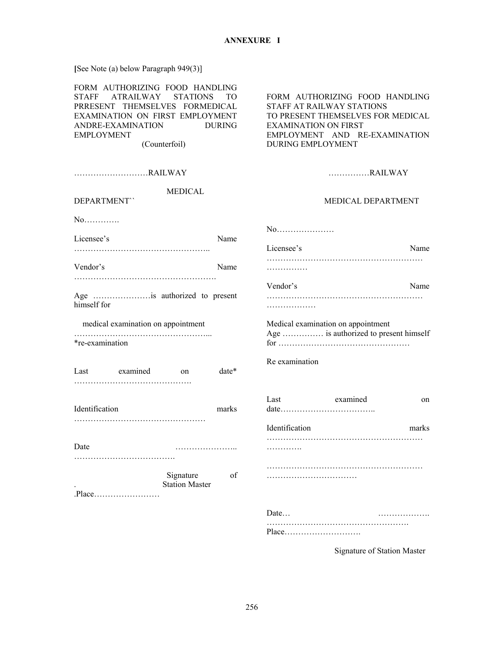**[**See Note (a) below Paragraph 949(3)]

|                                                                                                                                                                                                                              | Date                                                                                                                                                                                         |
|------------------------------------------------------------------------------------------------------------------------------------------------------------------------------------------------------------------------------|----------------------------------------------------------------------------------------------------------------------------------------------------------------------------------------------|
| Signature<br>of<br><b>Station Master</b>                                                                                                                                                                                     |                                                                                                                                                                                              |
| Date<br>. <b>.</b>                                                                                                                                                                                                           | .                                                                                                                                                                                            |
|                                                                                                                                                                                                                              | Identification<br>marks                                                                                                                                                                      |
| Identification<br>marks                                                                                                                                                                                                      | Last examined<br>on                                                                                                                                                                          |
| date*<br>Last examined<br><sub>on</sub>                                                                                                                                                                                      | Re examination                                                                                                                                                                               |
| *re-examination                                                                                                                                                                                                              |                                                                                                                                                                                              |
| medical examination on appointment                                                                                                                                                                                           | Medical examination on appointment<br>Age  is authorized to present himself                                                                                                                  |
| Age is authorized to present<br>himself for                                                                                                                                                                                  | .                                                                                                                                                                                            |
|                                                                                                                                                                                                                              | Vendor's<br>Name                                                                                                                                                                             |
| Vendor's<br>Name                                                                                                                                                                                                             | .                                                                                                                                                                                            |
| Licensee's<br>Name                                                                                                                                                                                                           | Licensee's<br>Name                                                                                                                                                                           |
| No                                                                                                                                                                                                                           | No                                                                                                                                                                                           |
| <b>MEDICAL</b><br>DEPARTMENT"                                                                                                                                                                                                | MEDICAL DEPARTMENT                                                                                                                                                                           |
| RAILWAY                                                                                                                                                                                                                      | RAILWAY                                                                                                                                                                                      |
|                                                                                                                                                                                                                              |                                                                                                                                                                                              |
| FORM AUTHORIZING FOOD HANDLING<br><b>STAFF</b><br>ATRAILWAY STATIONS<br>TO.<br>PRRESENT THEMSELVES FORMEDICAL<br>EXAMINATION ON FIRST EMPLOYMENT<br>ANDRE-EXAMINATION<br><b>DURING</b><br><b>EMPLOYMENT</b><br>(Counterfoil) | FORM AUTHORIZING FOOD HANDLING<br>STAFF AT RAILWAY STATIONS<br>TO PRESENT THEMSELVES FOR MEDICAL<br><b>EXAMINATION ON FIRST</b><br>EMPLOYMENT AND RE-EXAMINATION<br><b>DURING EMPLOYMENT</b> |
|                                                                                                                                                                                                                              |                                                                                                                                                                                              |

Signature of Station Master

…………………………………………….

Place……………………….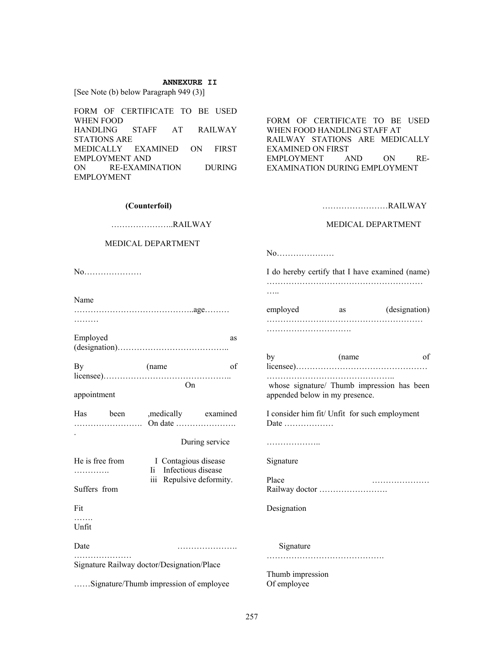#### **ANNEXURE II**

[See Note (b) below Paragraph 949 (3)]

FORM OF CERTIFICATE TO BE USED WHEN FOOD HANDLING STAFF AT RAILWAY STATIONS ARE MEDICALLY EXAMINED ON FIRST EMPLOYMENT AND ON RE-EXAMINATION DURING EMPLOYMENT

FORM OF CERTIFICATE TO BE USED WHEN FOOD HANDLING STAFF AT RAILWAY STATIONS ARE MEDICALLY EXAMINED ON FIRST EMPLOYMENT AND ON RE-EXAMINATION DURING EMPLOYMENT

#### **(Counterfoil)**

# …………………..RAILWAY

#### MEDICAL DEPARTMENT

……………………………………..age………

Employed as as (designation)…………………………………..

By (name of licensee)………………………………………..

Has been ,medically examined ……………………. On date ………………….

He is free from I Contagious disease …………. Ii Infectious disease

Date ………………….

Signature Railway doctor/Designation/Place

……Signature/Thumb impression of employee

During service

iii Repulsive deformity.

On

No…………………

Name

appointment

Suffers from

…………………

.

Fit …… Unfit ……………………RAILWAY

#### MEDICAL DEPARTMENT

No…………………

I do hereby certify that I have examined (name) ………………………………………………… ……

employed as (designation) ………………………………………………… ………………………….

by (name of licensee)………………………………………… ……………………………………….. whose signature/ Thumb impression has been appended below in my presence. I consider him fit/ Unfit for such employment Date ……………… ……………….. Signature Place ………………… Railway doctor ……………………. Designation Signature …………………………………….

Thumb impression Of employee